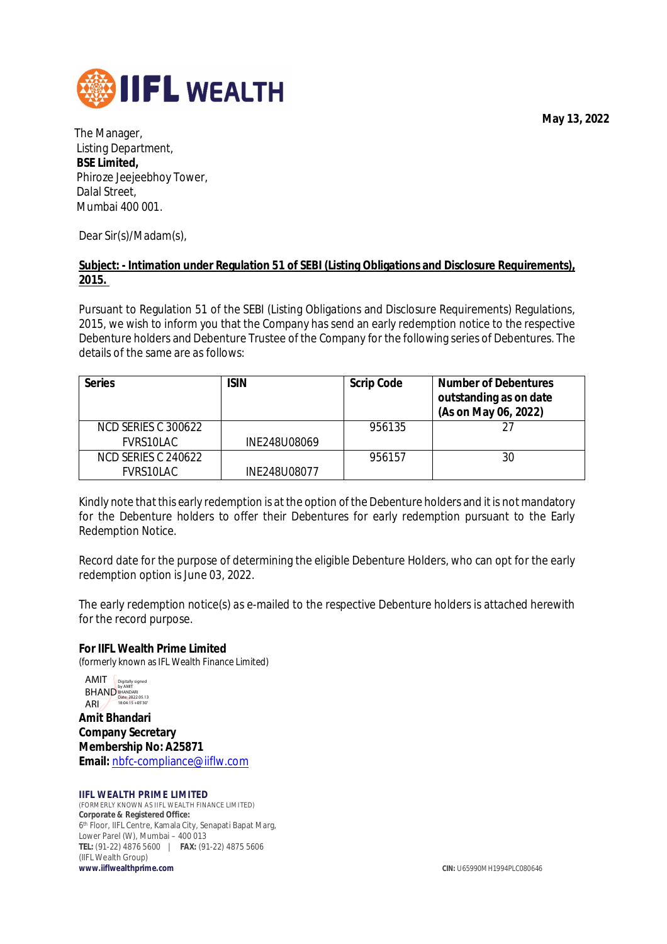**May 13, 2022**



The Manager, Listing Department, **BSE Limited,** Phiroze Jeejeebhoy Tower, Dalal Street, Mumbai 400 001.

Dear Sir(s)/Madam(s),

#### **Subject: - Intimation under Regulation 51 of SEBI (Listing Obligations and Disclosure Requirements), 2015.**

Pursuant to Regulation 51 of the SEBI (Listing Obligations and Disclosure Requirements) Regulations, 2015, we wish to inform you that the Company has send an early redemption notice to the respective Debenture holders and Debenture Trustee of the Company for the following series of Debentures. The details of the same are as follows:

| <b>Series</b>       | <b>ISIN</b>  | <b>Scrip Code</b> | <b>Number of Debentures</b><br>outstanding as on date<br>(As on May 06, 2022) |
|---------------------|--------------|-------------------|-------------------------------------------------------------------------------|
| NCD SERIES C 300622 |              | 956135            |                                                                               |
| <b>FVRS10LAC</b>    | INE248U08069 |                   |                                                                               |
| NCD SERIES C 240622 |              | 956157            | 30                                                                            |
| FVRS10LAC           | INE248U08077 |                   |                                                                               |

Kindly note that this early redemption is at the option of the Debenture holders and it is not mandatory for the Debenture holders to offer their Debentures for early redemption pursuant to the Early Redemption Notice.

Record date for the purpose of determining the eligible Debenture Holders, who can opt for the early redemption option is June 03, 2022.

The early redemption notice(s) as e-mailed to the respective Debenture holders is attached herewith for the record purpose.

**For IIFL Wealth Prime Limited** (formerly known as IFL Wealth Finance Limited)

**Amit Bhandari Company Secretary Membership No: A25871 Email:** nbfc-compliance@iiflw.com AMIT AIVIII Digitally signed<br>BHAND<br>
Date: 2022.05.13<br>
Δ RI 18:04:15 +05'30' ARI

#### **IIFL WEALTH PRIME LIMITED**

(FORMERLY KNOWN AS IIFL WEALTH FINANCE LIMITED) **Corporate & Registered Office:** 6 th Floor, IIFL Centre, Kamala City, Senapati Bapat Marg, Lower Parel (W), Mumbai – 400 013 **TEL:** (91-22) 4876 5600 | **FAX:** (91-22) 4875 5606 (IIFL Wealth Group)<br>www.iiflwealthprime.com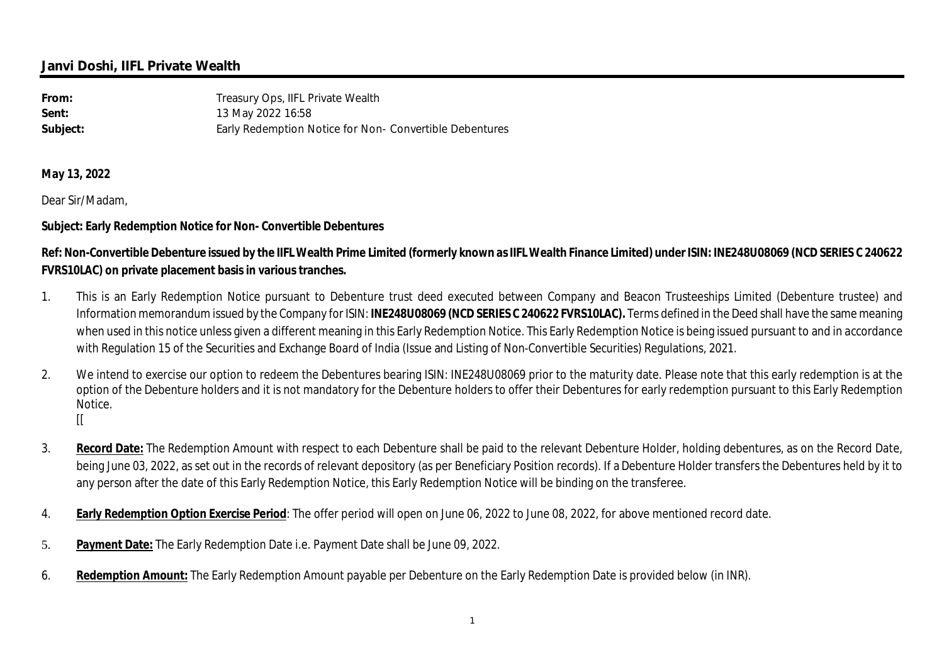## **Janvi Doshi, IIFL Private Wealth**

| From:    | Treasury Ops, IIFL Private Wealth                       |
|----------|---------------------------------------------------------|
| Sent:    | 13 May 2022 16:58                                       |
| Subject: | Early Redemption Notice for Non- Convertible Debentures |

**May 13, 2022**

Dear Sir/Madam,

### **Subject: Early Redemption Notice for Non- Convertible Debentures**

# **Ref: Non-Convertible Debenture issued by the IIFL Wealth Prime Limited (formerly known as IIFL Wealth Finance Limited) under ISIN: INE248U08069 (NCD SERIES C 240622 FVRS10LAC) on private placement basis in various tranches.**

- 1. This is an Early Redemption Notice pursuant to Debenture trust deed executed between Company and Beacon Trusteeships Limited (Debenture trustee) and Information memorandum issued by the Company for ISIN: **INE248U08069 (NCD SERIES C 240622 FVRS10LAC).** Terms defined in the Deed shall have the same meaning when used in this notice unless given a different meaning in this Early Redemption Notice. This Early Redemption Notice is being issued pursuant to and in accordance with Regulation 15 of the Securities and Exchange Board of India (Issue and Listing of Non-Convertible Securities) Regulations, 2021.
- 2. We intend to exercise our option to redeem the Debentures bearing ISIN: INE248U08069 prior to the maturity date. Please note that this early redemption is at the option of the Debenture holders and it is not mandatory for the Debenture holders to offer their Debentures for early redemption pursuant to this Early Redemption Notice.  $\mathbb{I}$
- 3. **Record Date:** The Redemption Amount with respect to each Debenture shall be paid to the relevant Debenture Holder, holding debentures, as on the Record Date, being June 03, 2022, as set out in the records of relevant depository (as per Beneficiary Position records). If a Debenture Holder transfers the Debentures held by it to any person after the date of this Early Redemption Notice, this Early Redemption Notice will be binding on the transferee.
- 4. **Early Redemption Option Exercise Period**: The offer period will open on June 06, 2022 to June 08, 2022, for above mentioned record date.
- 5. **Payment Date:** The Early Redemption Date i.e. Payment Date shall be June 09, 2022.
- 6. **Redemption Amount:** The Early Redemption Amount payable per Debenture on the Early Redemption Date is provided below (in INR).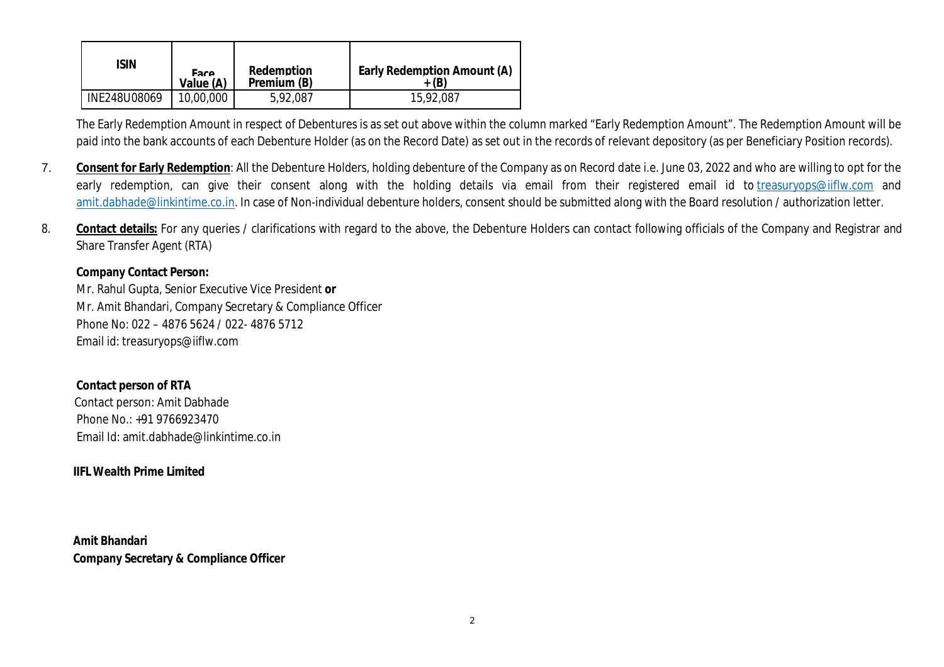| ISIN         | Fare<br>Value (A) | <b>Redemption</b><br>Premium (B) | <b>Early Redemption Amount (A)</b> |
|--------------|-------------------|----------------------------------|------------------------------------|
| INE248U08069 | 10,00,000         | 5,92,087                         | 15,92,087                          |

The Early Redemption Amount in respect of Debentures is as set out above within the column marked "Early Redemption Amount". The Redemption Amount will be paid into the bank accounts of each Debenture Holder (as on the Record Date) as set out in the records of relevant depository (as per Beneficiary Position records).

- 7. **Consent for Early Redemption**: All the Debenture Holders, holding debenture of the Company as on Record date i.e. June 03, 2022 and who are willing to opt for the early redemption, can give their consent along with the holding details via email from their registered email id to treasuryops@iiflw.com and amit.dabhade@linkintime.co.in. In case of Non-individual debenture holders, consent should be submitted along with the Board resolution / authorization letter.
- 8. **Contact details:** For any queries / clarifications with regard to the above, the Debenture Holders can contact following officials of the Company and Registrar and Share Transfer Agent (RTA)

#### **Company Contact Person:**

Mr. Rahul Gupta, Senior Executive Vice President **or** Mr. Amit Bhandari, Company Secretary & Compliance Officer Phone No: 022 – 4876 5624 / 022- 4876 5712 Email id: treasuryops@iiflw.com

### **Contact person of RTA**

 Contact person: Amit Dabhade Phone No.: +91 9766923470 Email Id: amit.dabhade@linkintime.co.in

## **IIFL Wealth Prime Limited**

**Amit Bhandari Company Secretary & Compliance Officer**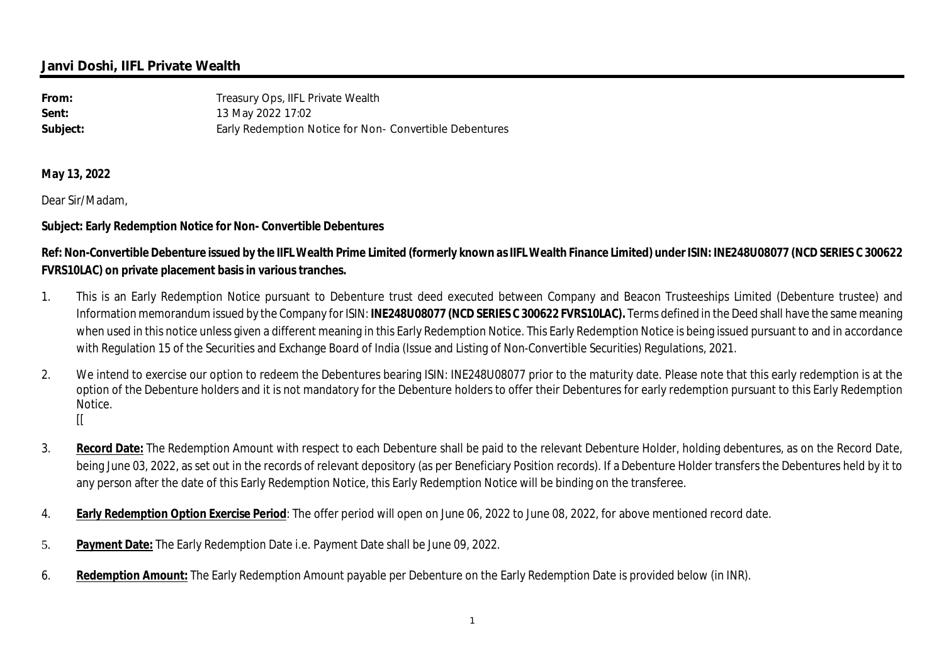## **Janvi Doshi, IIFL Private Wealth**

| From:    | Treasury Ops, IIFL Private Wealth                       |
|----------|---------------------------------------------------------|
| Sent:    | 13 May 2022 17:02                                       |
| Subject: | Early Redemption Notice for Non- Convertible Debentures |

**May 13, 2022**

Dear Sir/Madam,

### **Subject: Early Redemption Notice for Non- Convertible Debentures**

# **Ref: Non-Convertible Debenture issued by the IIFL Wealth Prime Limited (formerly known as IIFL Wealth Finance Limited) under ISIN: INE248U08077 (NCD SERIES C 300622 FVRS10LAC) on private placement basis in various tranches.**

- 1. This is an Early Redemption Notice pursuant to Debenture trust deed executed between Company and Beacon Trusteeships Limited (Debenture trustee) and Information memorandum issued by the Company for ISIN: **INE248U08077 (NCD SERIES C 300622 FVRS10LAC).** Terms defined in the Deed shall have the same meaning when used in this notice unless given a different meaning in this Early Redemption Notice. This Early Redemption Notice is being issued pursuant to and in accordance with Regulation 15 of the Securities and Exchange Board of India (Issue and Listing of Non-Convertible Securities) Regulations, 2021.
- 2. We intend to exercise our option to redeem the Debentures bearing ISIN: INE248U08077 prior to the maturity date. Please note that this early redemption is at the option of the Debenture holders and it is not mandatory for the Debenture holders to offer their Debentures for early redemption pursuant to this Early Redemption Notice.  $\mathbb{I}$
- 3. **Record Date:** The Redemption Amount with respect to each Debenture shall be paid to the relevant Debenture Holder, holding debentures, as on the Record Date, being June 03, 2022, as set out in the records of relevant depository (as per Beneficiary Position records). If a Debenture Holder transfers the Debentures held by it to any person after the date of this Early Redemption Notice, this Early Redemption Notice will be binding on the transferee.
- 4. **Early Redemption Option Exercise Period**: The offer period will open on June 06, 2022 to June 08, 2022, for above mentioned record date.
- 5. **Payment Date:** The Early Redemption Date i.e. Payment Date shall be June 09, 2022.
- 6. **Redemption Amount:** The Early Redemption Amount payable per Debenture on the Early Redemption Date is provided below (in INR).